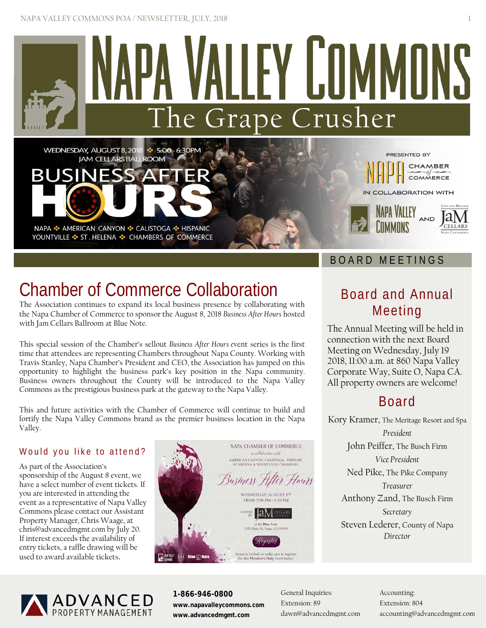

# Chamber of Commerce Collaboration

The Association continues to expand its local business presence by collaborating with the Napa Chamber of Commerce to sponsor the August 8, 2018 *Business After Hours* hosted with Jam Cellars Ballroom at Blue Note.

This special session of the Chamber's sellout *Business After Hours e*vent series is the first time that attendees are representing Chambers throughout Napa County. Working with Travis Stanley, Napa Chamber's President and CEO, the Association has jumped on this opportunity to highlight the business park's key position in the Napa community. Business owners throughout the County will be introduced to the Napa Valley Commons as the prestigious business park at the gateway to the Napa Valley.

This and future activities with the Chamber of Commerce will continue to build and fortify the Napa Valley Commons brand as the premier business location in the Napa Valley.

## Would you like to attend?

As part of the Association's sponsorship of the August 8 event, we have a select number of event tickets. If you are interested in attending the event as a representative of Napa Valley Commons please contact our Assistant Property Manager, Chris Waage, at [chris@advancedmgmt.com](mailto:chris@advancedmgmt.com) by July 20. If interest exceeds the availability of entry tickets, a raffle drawing will be used to award available tickets.



## Board and Annual Meeting

The Annual Meeting will be held in connection with the next Board Meeting on Wednesday, July 19 2018, 11:00 a.m. at 860 Napa Valley Corporate Way, Suite O, Napa CA. All property owners are welcome!

## Board

Kory Kramer, The Meritage Resort and Spa *President* John Peiffer, The Busch Firm *Vice President* Ned Pike, The Pike Company *Treasurer* Anthony Zand, The Busch Firm *Secretary* Steven Lederer, County of Napa *Director*



**1-866-946-0800 www.napavalleycommons.com www.advancedmgmt.com**

General Inquiries: Extension: 89 [dawn@advancedmgmt.com](mailto:dawn@advancedmgmt.com)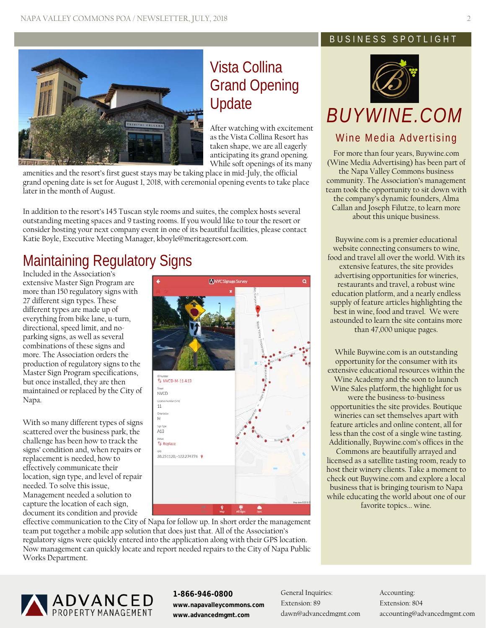

## Vista Collina Grand Opening Update

After watching with excitement as the Vista Collina Resort has taken shape, we are all eagerly anticipating its grand opening. While soft openings of its many

amenities and the resort's first guest stays may be taking place in mid-July, the official grand opening date is set for August 1, 2018, with ceremonial opening events to take place later in the month of August.

In addition to the resort's 145 Tuscan style rooms and suites, the complex hosts several outstanding meeting spaces and 9 tasting rooms. If you would like to tour the resort or consider hosting your next company event in one of its beautiful facilities, please contact Katie Boyle, Executive Meeting Manager[, kboyle@meritageresort.com.](mailto:kboyle@meritageresort.com)

# Maintaining Regulatory Signs

Included in the Association's extensive Master Sign Program are more than 150 regulatory signs with 27 different sign types. These different types are made up of everything from bike lane, u-turn, directional, speed limit, and noparking signs, as well as several combinations of these signs and more. The Association orders the production of regulatory signs to the Master Sign Program specifications, but once installed, they are then maintained or replaced by the City of Napa.

With so many different types of signs scattered over the business park, the challenge has been how to track the signs' condition and, when repairs or replacement is needed, how to effectively communicate their location, sign type, and level of repair needed. To solve this issue, Management needed a solution to capture the location of each sign, document its condition and provide



effective communication to the City of Napa for follow up. In short order the management team put together a mobile app solution that does just that. All of the Association's regulatory signs were quickly entered into the application along with their GPS location. Now management can quickly locate and report needed repairs to the City of Napa Public Works Department.

## BUSINESS SPOTLIGHT



# *BUYWINE.COM*

## Wine Media Advertising

For more than four years, Buywine.com (Wine Media Advertising) has been part of the Napa Valley Commons business community. The Association's management team took the opportunity to sit down with the company's dynamic founders, Alma Callan and Joseph Filutze, to learn more about this unique business.

Buywine.com is a premier educational website connecting consumers to wine, food and travel all over the world. With its extensive features, the site provides advertising opportunities for wineries, restaurants and travel, a robust wine education platform, and a nearly endless supply of feature articles highlighting the best in wine, food and travel. We were astounded to learn the site contains more than 47,000 unique pages.

While Buywine.com is an outstanding opportunity for the consumer with its extensive educational resources within the Wine Academy and the soon to launch Wine Sales platform, the highlight for us were the business-to-business opportunities the site provides. Boutique wineries can set themselves apart with feature articles and online content, all for less than the cost of a single wine tasting. Additionally, Buywine.com's offices in the

Commons are beautifully arrayed and licensed as a satellite tasting room, ready to host their winery clients. Take a moment to check out Buywine.com and explore a local business that is bringing tourism to Napa while educating the world about one of our favorite topics... wine.



**1-866-946-0800 www.napavalleycommons.com www.advancedmgmt.com**

General Inquiries: Extension: 89 [dawn@advancedmgmt.com](mailto:dawn@advancedmgmt.com)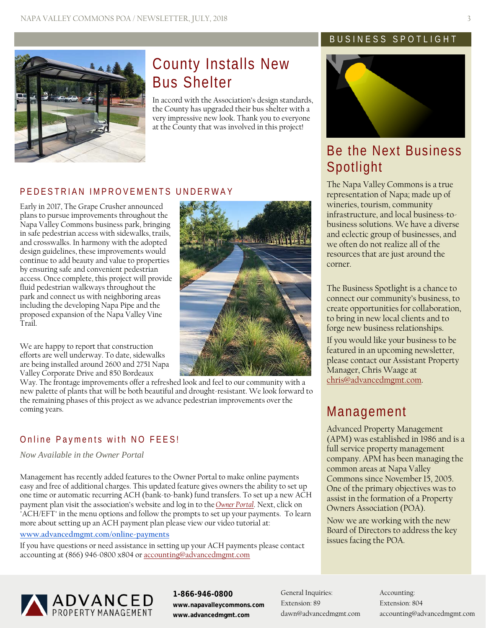

## County Installs New Bus Shelter

In accord with the Association's design standards, the County has upgraded their bus shelter with a very impressive new look. Thank you to everyone at the County that was involved in this project!

## PEDESTRIAN IMPROVEMENTS UNDERWAY

Early in 2017, The Grape Crusher announced plans to pursue improvements throughout the Napa Valley Commons business park, bringing in safe pedestrian access with sidewalks, trails, and crosswalks. In harmony with the adopted design guidelines, these improvements would continue to add beauty and value to properties by ensuring safe and convenient pedestrian access. Once complete, this project will provide fluid pedestrian walkways throughout the park and connect us with neighboring areas including the developing Napa Pipe and the proposed expansion of the Napa Valley Vine Trail.

We are happy to report that construction efforts are well underway. To date, sidewalks are being installed around 2600 and 2751 Napa Valley Corporate Drive and 850 Bordeaux

Way. The frontage improvements offer a refreshed look and feel to our community with a new palette of plants that will be both beautiful and drought-resistant. We look forward to the remaining phases of this project as we advance pedestrian improvements over the coming years.

## Online Payments with NO FEES!

*Now Available in the Owner Portal*

Management has recently added features to the Owner Portal to make online payments easy and free of additional charges. This updated feature gives owners the ability to set up one time or automatic recurring ACH (bank-to-bank) fund transfers. To set up a new ACH payment plan visit the association's website and log in to the *[Owner Portal](https://caliber.cloud/CaliberWeb2_AdvancedPropertyMgmt)*. Next, click on "ACH/EFT" in the menu options and follow the prompts to set up your payments. To learn more about setting up an ACH payment plan please view our video tutorial at:

### **[www.advancedmgmt.com/online-payments](http://www.advancedmgmt.com/online-payments)**

If you have questions or need assistance in setting up your ACH payments please contact accounting at (866) 946-0800 x804 o[r accounting@advancedmgmt.com](mailto:accounting@advancedmgmt.com)

## BUSINESS SPOTLIGHT



## Be the Next Business Spotlight

The Napa Valley Commons is a true representation of Napa; made up of wineries, tourism, community infrastructure, and local business-tobusiness solutions. We have a diverse and eclectic group of businesses, and we often do not realize all of the resources that are just around the corner.

The Business Spotlight is a chance to connect our community's business, to create opportunities for collaboration, to bring in new local clients and to forge new business relationships. If you would like your business to be featured in an upcoming newsletter, please contact our Assistant Property Manager, Chris Waage at [chris@advancedmgmt.com.](mailto:chris@advancedmgmt.com)

## Management

Advanced Property Management (APM) was established in 1986 and is a full service property management company. APM has been managing the common areas at Napa Valley Commons since November 15, 2005. One of the primary objectives was to assist in the formation of a Property Owners Association (POA).

Now we are working with the new Board of Directors to address the key issues facing the POA.



**1-866-946-0800 www.napavalleycommons.com www.advancedmgmt.com**

General Inquiries: Extension: 89 [dawn@advancedmgmt.com](mailto:dawn@advancedmgmt.com)